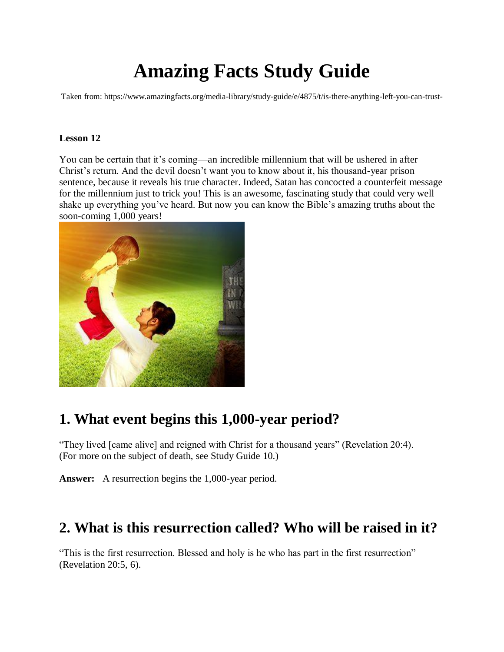# **Amazing Facts Study Guide**

Taken from: https://www.amazingfacts.org/media-library/study-guide/e/4875/t/is-there-anything-left-you-can-trust-

### **Lesson 12**

You can be certain that it's coming—an incredible millennium that will be ushered in after Christ's return. And the devil doesn't want you to know about it, his thousand-year prison sentence, because it reveals his true character. Indeed, Satan has concocted a counterfeit message for the millennium just to trick you! This is an awesome, fascinating study that could very well shake up everything you've heard. But now you can know the Bible's amazing truths about the soon-coming 1,000 years!



# **1. What event begins this 1,000-year period?**

"They lived [came alive] and reigned with Christ for a thousand years" (Revelation 20:4). (For more on the subject of death, see Study Guide 10.)

**Answer:** A resurrection begins the 1,000-year period.

### **2. What is this resurrection called? Who will be raised in it?**

"This is the first resurrection. Blessed and holy is he who has part in the first resurrection" (Revelation 20:5, 6).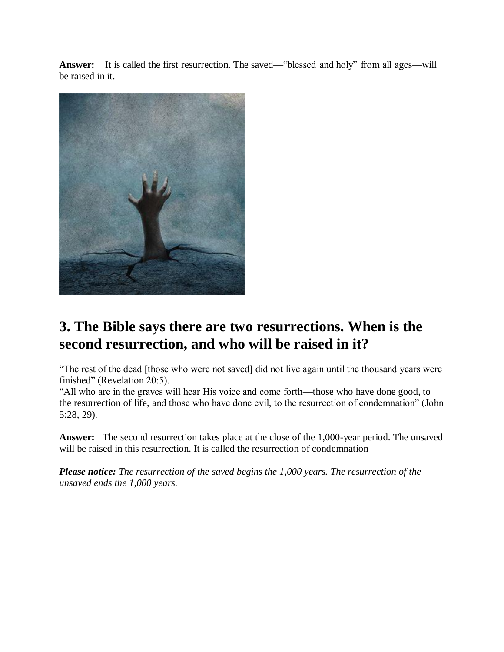**Answer:** It is called the first resurrection. The saved—"blessed and holy" from all ages—will be raised in it.



# **3. The Bible says there are two resurrections. When is the second resurrection, and who will be raised in it?**

"The rest of the dead [those who were not saved] did not live again until the thousand years were finished" (Revelation 20:5).

"All who are in the graves will hear His voice and come forth—those who have done good, to the resurrection of life, and those who have done evil, to the resurrection of condemnation" (John 5:28, 29).

**Answer:** The second resurrection takes place at the close of the 1,000-year period. The unsaved will be raised in this resurrection. It is called the resurrection of condemnation

*Please notice: The resurrection of the saved begins the 1,000 years. The resurrection of the unsaved ends the 1,000 years.*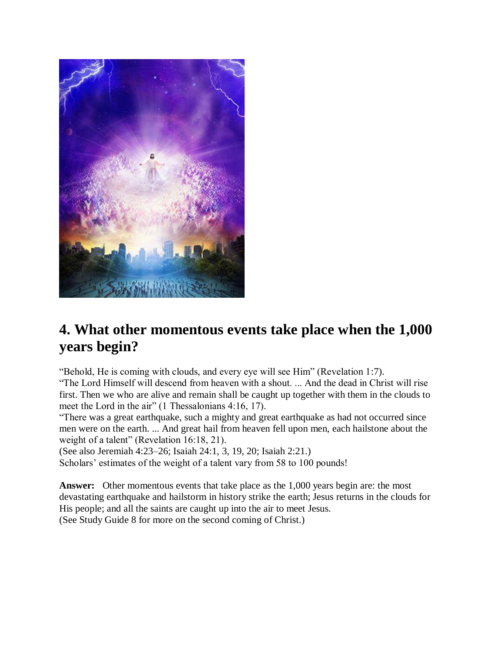

### **4. What other momentous events take place when the 1,000 years begin?**

"Behold, He is coming with clouds, and every eye will see Him" (Revelation 1:7).

"The Lord Himself will descend from heaven with a shout. ... And the dead in Christ will rise first. Then we who are alive and remain shall be caught up together with them in the clouds to meet the Lord in the air" (1 Thessalonians 4:16, 17).

"There was a great earthquake, such a mighty and great earthquake as had not occurred since men were on the earth. ... And great hail from heaven fell upon men, each hailstone about the weight of a talent" (Revelation 16:18, 21).

(See also Jeremiah 4:23–26; Isaiah 24:1, 3, 19, 20; Isaiah 2:21.)

Scholars' estimates of the weight of a talent vary from 58 to 100 pounds!

**Answer:** Other momentous events that take place as the 1,000 years begin are: the most devastating earthquake and hailstorm in history strike the earth; Jesus returns in the clouds for His people; and all the saints are caught up into the air to meet Jesus. (See Study Guide 8 for more on the second coming of Christ.)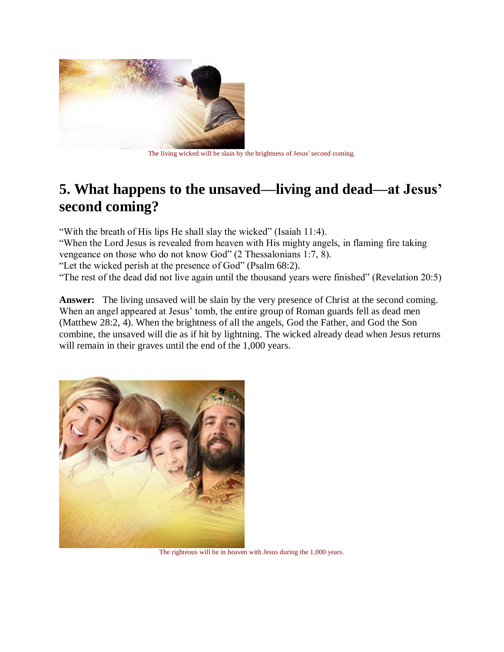

The living wicked will be slain by the brightness of Jesus' second coming.

### **5. What happens to the unsaved—living and dead—at Jesus' second coming?**

"With the breath of His lips He shall slay the wicked" (Isaiah 11:4). "When the Lord Jesus is revealed from heaven with His mighty angels, in flaming fire taking vengeance on those who do not know God" (2 Thessalonians 1:7, 8). "Let the wicked perish at the presence of God" (Psalm 68:2). "The rest of the dead did not live again until the thousand years were finished" (Revelation 20:5)

Answer: The living unsaved will be slain by the very presence of Christ at the second coming. When an angel appeared at Jesus' tomb, the entire group of Roman guards fell as dead men (Matthew 28:2, 4). When the brightness of all the angels, God the Father, and God the Son combine, the unsaved will die as if hit by lightning. The wicked already dead when Jesus returns will remain in their graves until the end of the 1,000 years.



The righteous will be in heaven with Jesus during the 1,000 years.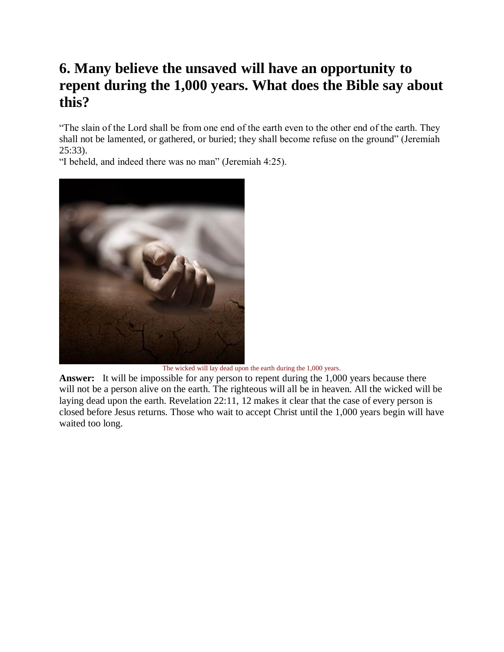# **6. Many believe the unsaved will have an opportunity to repent during the 1,000 years. What does the Bible say about this?**

"The slain of the Lord shall be from one end of the earth even to the other end of the earth. They shall not be lamented, or gathered, or buried; they shall become refuse on the ground" (Jeremiah 25:33).

"I beheld, and indeed there was no man" (Jeremiah 4:25).



The wicked will lay dead upon the earth during the 1,000 years.

Answer: It will be impossible for any person to repent during the 1,000 years because there will not be a person alive on the earth. The righteous will all be in heaven. All the wicked will be laying dead upon the earth. Revelation 22:11, 12 makes it clear that the case of every person is closed before Jesus returns. Those who wait to accept Christ until the 1,000 years begin will have waited too long.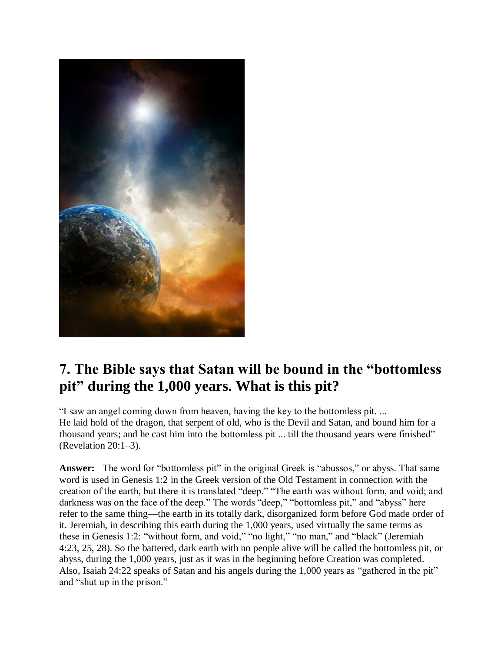

# **7. The Bible says that Satan will be bound in the "bottomless pit" during the 1,000 years. What is this pit?**

"I saw an angel coming down from heaven, having the key to the bottomless pit. ... He laid hold of the dragon, that serpent of old, who is the Devil and Satan, and bound him for a thousand years; and he cast him into the bottomless pit ... till the thousand years were finished" (Revelation 20:1–3).

**Answer:** The word for "bottomless pit" in the original Greek is "abussos," or abyss. That same word is used in Genesis 1:2 in the Greek version of the Old Testament in connection with the creation of the earth, but there it is translated "deep." "The earth was without form, and void; and darkness was on the face of the deep." The words "deep," "bottomless pit," and "abyss" here refer to the same thing—the earth in its totally dark, disorganized form before God made order of it. Jeremiah, in describing this earth during the 1,000 years, used virtually the same terms as these in Genesis 1:2: "without form, and void," "no light," "no man," and "black" (Jeremiah 4:23, 25, 28). So the battered, dark earth with no people alive will be called the bottomless pit, or abyss, during the 1,000 years, just as it was in the beginning before Creation was completed. Also, Isaiah 24:22 speaks of Satan and his angels during the 1,000 years as "gathered in the pit" and "shut up in the prison."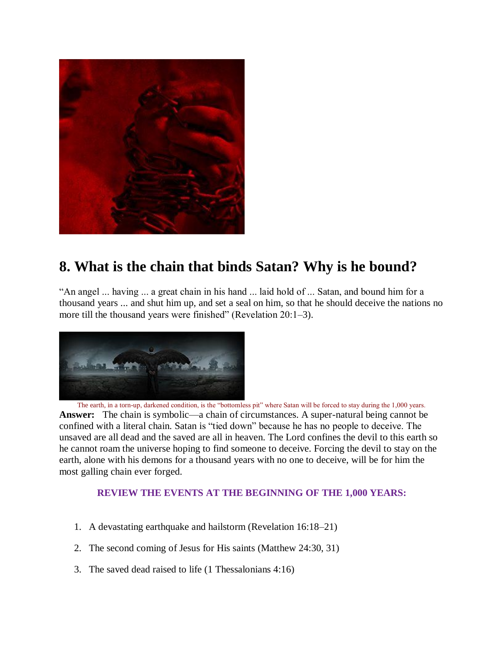

# **8. What is the chain that binds Satan? Why is he bound?**

"An angel ... having ... a great chain in his hand ... laid hold of ... Satan, and bound him for a thousand years ... and shut him up, and set a seal on him, so that he should deceive the nations no more till the thousand years were finished" (Revelation 20:1–3).



The earth, in a torn-up, darkened condition, is the "bottomless pit" where Satan will be forced to stay during the 1,000 years. **Answer:** The chain is symbolic—a chain of circumstances. A super-natural being cannot be confined with a literal chain. Satan is "tied down" because he has no people to deceive. The unsaved are all dead and the saved are all in heaven. The Lord confines the devil to this earth so he cannot roam the universe hoping to find someone to deceive. Forcing the devil to stay on the earth, alone with his demons for a thousand years with no one to deceive, will be for him the most galling chain ever forged.

### **REVIEW THE EVENTS AT THE BEGINNING OF THE 1,000 YEARS:**

- 1. A devastating earthquake and hailstorm (Revelation 16:18–21)
- 2. The second coming of Jesus for His saints (Matthew 24:30, 31)
- 3. The saved dead raised to life (1 Thessalonians 4:16)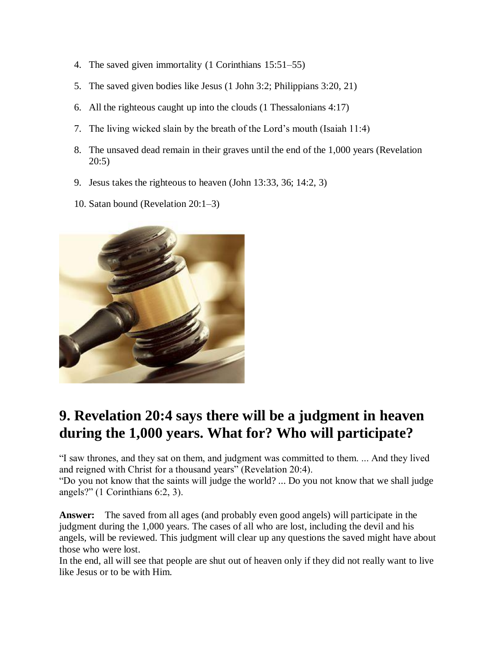- 4. The saved given immortality (1 Corinthians 15:51–55)
- 5. The saved given bodies like Jesus (1 John 3:2; Philippians 3:20, 21)
- 6. All the righteous caught up into the clouds (1 Thessalonians 4:17)
- 7. The living wicked slain by the breath of the Lord's mouth (Isaiah 11:4)
- 8. The unsaved dead remain in their graves until the end of the 1,000 years (Revelation 20:5)
- 9. Jesus takes the righteous to heaven (John 13:33, 36; 14:2, 3)
- 10. Satan bound (Revelation 20:1–3)



# **9. Revelation 20:4 says there will be a judgment in heaven during the 1,000 years. What for? Who will participate?**

"I saw thrones, and they sat on them, and judgment was committed to them. ... And they lived and reigned with Christ for a thousand years" (Revelation 20:4).

"Do you not know that the saints will judge the world? ... Do you not know that we shall judge angels?" (1 Corinthians 6:2, 3).

**Answer:** The saved from all ages (and probably even good angels) will participate in the judgment during the 1,000 years. The cases of all who are lost, including the devil and his angels, will be reviewed. This judgment will clear up any questions the saved might have about those who were lost.

In the end, all will see that people are shut out of heaven only if they did not really want to live like Jesus or to be with Him.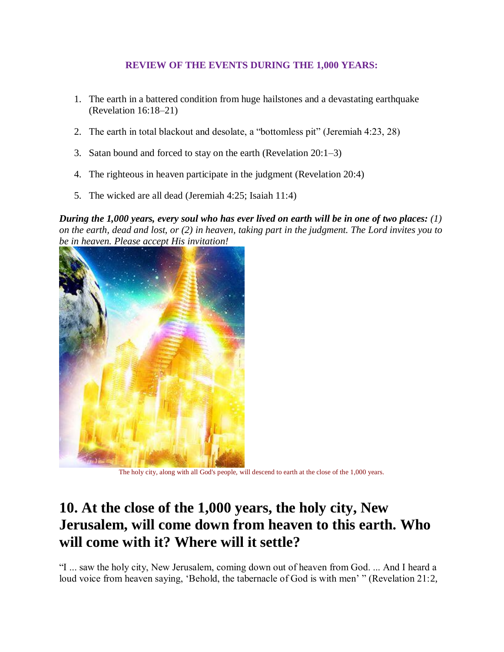### **REVIEW OF THE EVENTS DURING THE 1,000 YEARS:**

- 1. The earth in a battered condition from huge hailstones and a devastating earthquake (Revelation 16:18–21)
- 2. The earth in total blackout and desolate, a "bottomless pit" (Jeremiah 4:23, 28)
- 3. Satan bound and forced to stay on the earth (Revelation 20:1–3)
- 4. The righteous in heaven participate in the judgment (Revelation 20:4)
- 5. The wicked are all dead (Jeremiah 4:25; Isaiah 11:4)

*During the 1,000 years, every soul who has ever lived on earth will be in one of two places: (1) on the earth, dead and lost, or (2) in heaven, taking part in the judgment. The Lord invites you to be in heaven. Please accept His invitation!*



The holy city, along with all God's people, will descend to earth at the close of the 1,000 years.

# **10. At the close of the 1,000 years, the holy city, New Jerusalem, will come down from heaven to this earth. Who will come with it? Where will it settle?**

"I ... saw the holy city, New Jerusalem, coming down out of heaven from God. ... And I heard a loud voice from heaven saying, 'Behold, the tabernacle of God is with men' " (Revelation 21:2,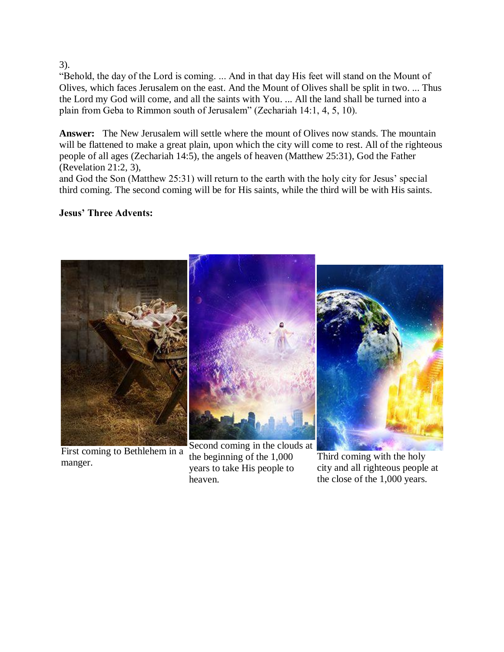3).

"Behold, the day of the Lord is coming. ... And in that day His feet will stand on the Mount of Olives, which faces Jerusalem on the east. And the Mount of Olives shall be split in two. ... Thus the Lord my God will come, and all the saints with You. ... All the land shall be turned into a plain from Geba to Rimmon south of Jerusalem" (Zechariah 14:1, 4, 5, 10).

**Answer:** The New Jerusalem will settle where the mount of Olives now stands. The mountain will be flattened to make a great plain, upon which the city will come to rest. All of the righteous people of all ages (Zechariah 14:5), the angels of heaven (Matthew 25:31), God the Father (Revelation 21:2, 3),

and God the Son (Matthew 25:31) will return to the earth with the holy city for Jesus' special third coming. The second coming will be for His saints, while the third will be with His saints.

### **Jesus' Three Advents:**



First coming to Bethlehem in a manger.

Second coming in the clouds at the beginning of the 1,000 years to take His people to heaven.

Third coming with the holy city and all righteous people at the close of the 1,000 years.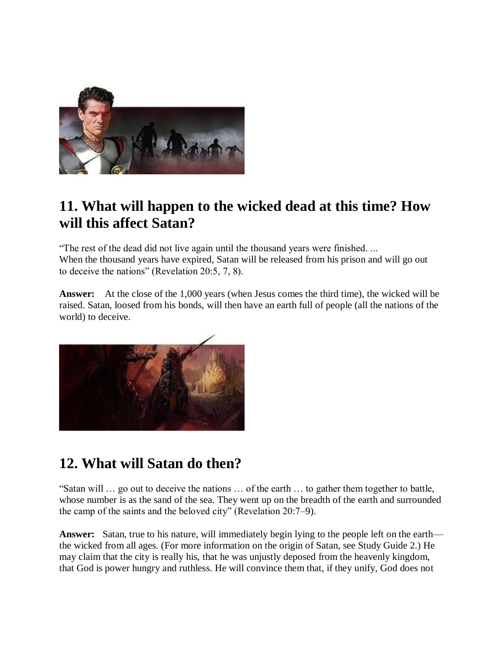

### **11. What will happen to the wicked dead at this time? How will this affect Satan?**

"The rest of the dead did not live again until the thousand years were finished. ... When the thousand years have expired, Satan will be released from his prison and will go out to deceive the nations" (Revelation 20:5, 7, 8).

**Answer:** At the close of the 1,000 years (when Jesus comes the third time), the wicked will be raised. Satan, loosed from his bonds, will then have an earth full of people (all the nations of the world) to deceive.



# **12. What will Satan do then?**

"Satan will … go out to deceive the nations … of the earth … to gather them together to battle, whose number is as the sand of the sea. They went up on the breadth of the earth and surrounded the camp of the saints and the beloved city" (Revelation 20:7–9).

**Answer:** Satan, true to his nature, will immediately begin lying to the people left on the earth the wicked from all ages. (For more information on the origin of Satan, see Study Guide 2.) He may claim that the city is really his, that he was unjustly deposed from the heavenly kingdom, that God is power hungry and ruthless. He will convince them that, if they unify, God does not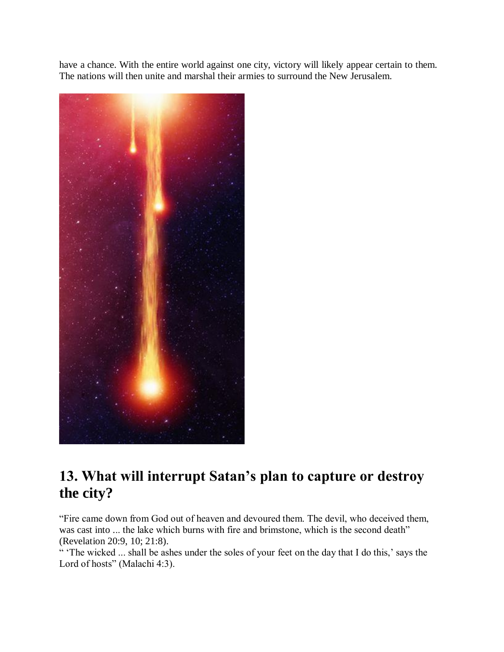have a chance. With the entire world against one city, victory will likely appear certain to them. The nations will then unite and marshal their armies to surround the New Jerusalem.



# **13. What will interrupt Satan's plan to capture or destroy the city?**

"Fire came down from God out of heaven and devoured them. The devil, who deceived them, was cast into ... the lake which burns with fire and brimstone, which is the second death" (Revelation 20:9, 10; 21:8).

" 'The wicked ... shall be ashes under the soles of your feet on the day that I do this,' says the Lord of hosts" (Malachi 4:3).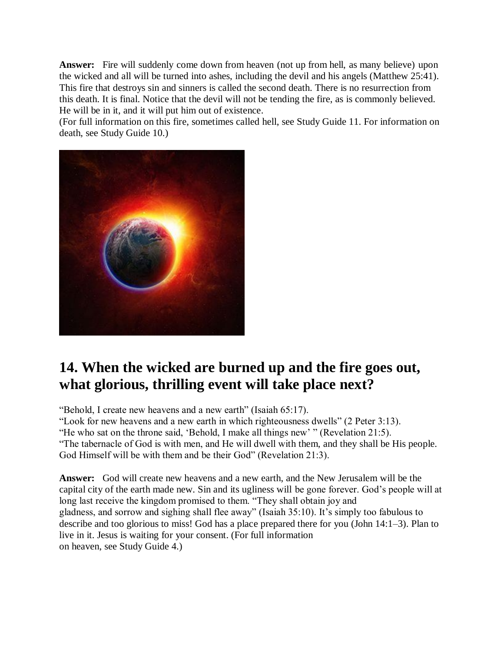**Answer:** Fire will suddenly come down from heaven (not up from hell, as many believe) upon the wicked and all will be turned into ashes, including the devil and his angels (Matthew 25:41). This fire that destroys sin and sinners is called the second death. There is no resurrection from this death. It is final. Notice that the devil will not be tending the fire, as is commonly believed. He will be in it, and it will put him out of existence.

(For full information on this fire, sometimes called hell, see Study Guide 11. For information on death, see Study Guide 10.)



# **14. When the wicked are burned up and the fire goes out, what glorious, thrilling event will take place next?**

"Behold, I create new heavens and a new earth" (Isaiah 65:17).

"Look for new heavens and a new earth in which righteousness dwells" (2 Peter 3:13).

"He who sat on the throne said, 'Behold, I make all things new' " (Revelation 21:5).

"The tabernacle of God is with men, and He will dwell with them, and they shall be His people. God Himself will be with them and be their God" (Revelation 21:3).

**Answer:** God will create new heavens and a new earth, and the New Jerusalem will be the capital city of the earth made new. Sin and its ugliness will be gone forever. God's people will at long last receive the kingdom promised to them. "They shall obtain joy and gladness, and sorrow and sighing shall flee away" (Isaiah 35:10). It's simply too fabulous to describe and too glorious to miss! God has a place prepared there for you (John 14:1–3). Plan to live in it. Jesus is waiting for your consent. (For full information on heaven, see Study Guide 4.)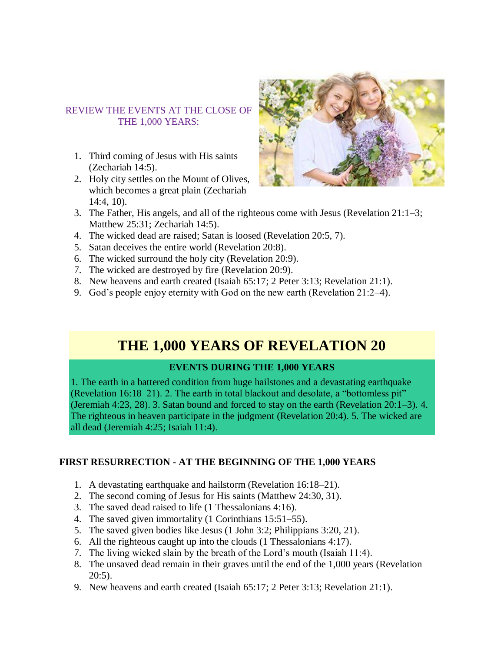### REVIEW THE EVENTS AT THE CLOSE OF THE 1,000 YEARS:

- 1. Third coming of Jesus with His saints (Zechariah 14:5).
- 2. Holy city settles on the Mount of Olives, which becomes a great plain (Zechariah 14:4, 10).



- 3. The Father, His angels, and all of the righteous come with Jesus (Revelation 21:1–3; Matthew 25:31; Zechariah 14:5).
- 4. The wicked dead are raised; Satan is loosed (Revelation 20:5, 7).
- 5. Satan deceives the entire world (Revelation 20:8).
- 6. The wicked surround the holy city (Revelation 20:9).
- 7. The wicked are destroyed by fire (Revelation 20:9).
- 8. New heavens and earth created (Isaiah 65:17; 2 Peter 3:13; Revelation 21:1).
- 9. God's people enjoy eternity with God on the new earth (Revelation 21:2–4).

### **THE 1,000 YEARS OF REVELATION 20**

### **EVENTS DURING THE 1,000 YEARS**

1. The earth in a battered condition from huge hailstones and a devastating earthquake (Revelation 16:18–21). 2. The earth in total blackout and desolate, a "bottomless pit" (Jeremiah 4:23, 28). 3. Satan bound and forced to stay on the earth (Revelation 20:1–3). 4. The righteous in heaven participate in the judgment (Revelation 20:4). 5. The wicked are all dead (Jeremiah 4:25; Isaiah 11:4).

### **FIRST RESURRECTION - AT THE BEGINNING OF THE 1,000 YEARS**

- 1. A devastating earthquake and hailstorm (Revelation 16:18–21).
- 2. The second coming of Jesus for His saints (Matthew 24:30, 31).
- 3. The saved dead raised to life (1 Thessalonians 4:16).
- 4. The saved given immortality (1 Corinthians 15:51–55).
- 5. The saved given bodies like Jesus (1 John 3:2; Philippians 3:20, 21).
- 6. All the righteous caught up into the clouds (1 Thessalonians 4:17).
- 7. The living wicked slain by the breath of the Lord's mouth (Isaiah 11:4).
- 8. The unsaved dead remain in their graves until the end of the 1,000 years (Revelation 20:5).
- 9. New heavens and earth created (Isaiah 65:17; 2 Peter 3:13; Revelation 21:1).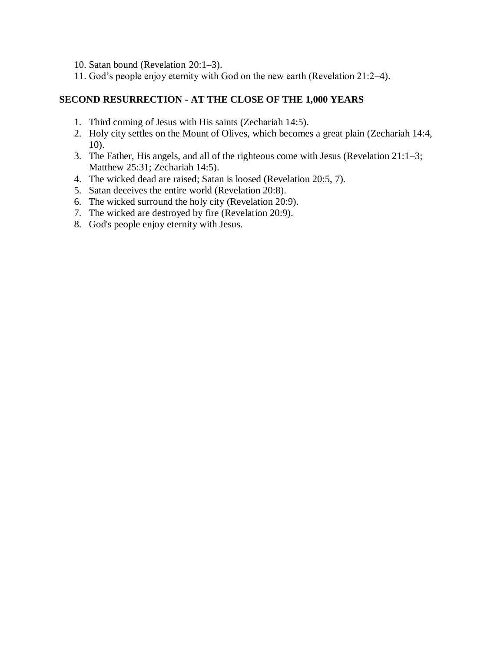- 10. Satan bound (Revelation 20:1–3).
- 11. God's people enjoy eternity with God on the new earth (Revelation 21:2–4).

#### **SECOND RESURRECTION - AT THE CLOSE OF THE 1,000 YEARS**

- 1. Third coming of Jesus with His saints (Zechariah 14:5).
- 2. Holy city settles on the Mount of Olives, which becomes a great plain (Zechariah 14:4, 10).
- 3. The Father, His angels, and all of the righteous come with Jesus (Revelation 21:1–3; Matthew 25:31; Zechariah 14:5).
- 4. The wicked dead are raised; Satan is loosed (Revelation 20:5, 7).
- 5. Satan deceives the entire world (Revelation 20:8).
- 6. The wicked surround the holy city (Revelation 20:9).
- 7. The wicked are destroyed by fire (Revelation 20:9).
- 8. God's people enjoy eternity with Jesus.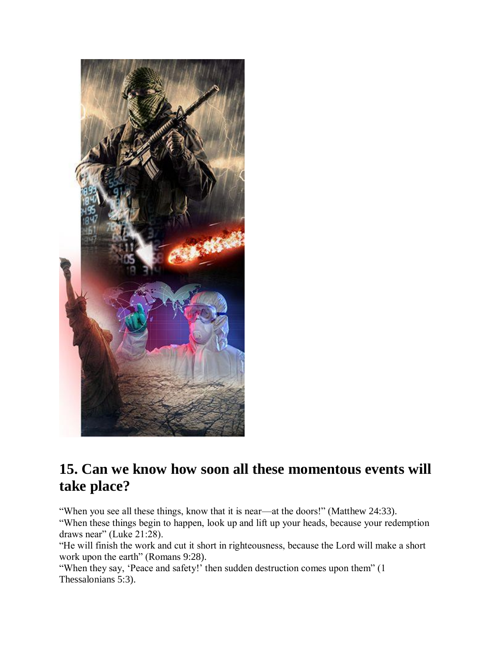

### **15. Can we know how soon all these momentous events will take place?**

"When you see all these things, know that it is near—at the doors!" (Matthew 24:33). "When these things begin to happen, look up and lift up your heads, because your redemption draws near" (Luke 21:28).

"He will finish the work and cut it short in righteousness, because the Lord will make a short work upon the earth" (Romans 9:28).

"When they say, 'Peace and safety!' then sudden destruction comes upon them" (1 Thessalonians 5:3).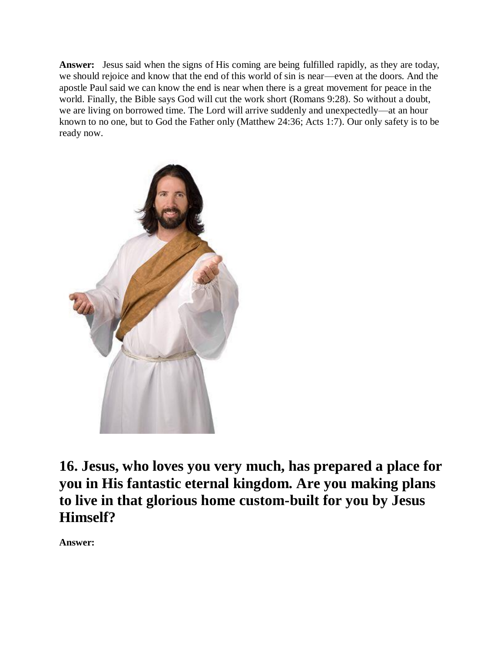**Answer:** Jesus said when the signs of His coming are being fulfilled rapidly, as they are today, we should rejoice and know that the end of this world of sin is near—even at the doors. And the apostle Paul said we can know the end is near when there is a great movement for peace in the world. Finally, the Bible says God will cut the work short (Romans 9:28). So without a doubt, we are living on borrowed time. The Lord will arrive suddenly and unexpectedly—at an hour known to no one, but to God the Father only (Matthew 24:36; Acts 1:7). Our only safety is to be ready now.



**16. Jesus, who loves you very much, has prepared a place for you in His fantastic eternal kingdom. Are you making plans to live in that glorious home custom-built for you by Jesus Himself?**

**Answer:**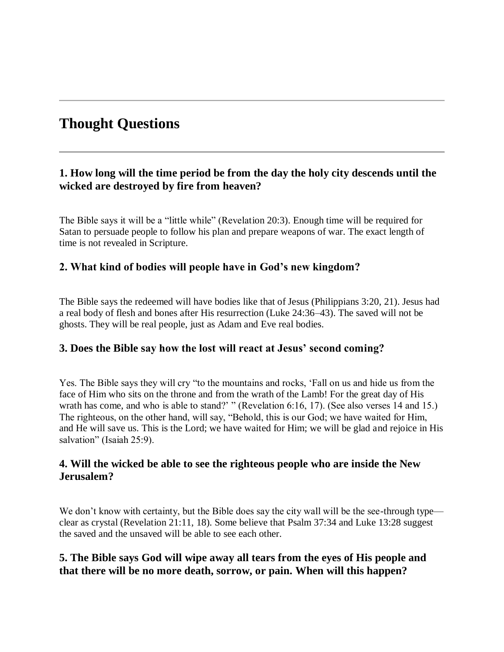### **Thought Questions**

### **1. How long will the time period be from the day the holy city descends until the wicked are destroyed by fire from heaven?**

The Bible says it will be a "little while" (Revelation 20:3). Enough time will be required for Satan to persuade people to follow his plan and prepare weapons of war. The exact length of time is not revealed in Scripture.

### **2. What kind of bodies will people have in God's new kingdom?**

The Bible says the redeemed will have bodies like that of Jesus (Philippians 3:20, 21). Jesus had a real body of flesh and bones after His resurrection (Luke 24:36–43). The saved will not be ghosts. They will be real people, just as Adam and Eve real bodies.

### **3. Does the Bible say how the lost will react at Jesus' second coming?**

Yes. The Bible says they will cry "to the mountains and rocks, 'Fall on us and hide us from the face of Him who sits on the throne and from the wrath of the Lamb! For the great day of His wrath has come, and who is able to stand?' " (Revelation 6:16, 17). (See also verses 14 and 15.) The righteous, on the other hand, will say, "Behold, this is our God; we have waited for Him, and He will save us. This is the Lord; we have waited for Him; we will be glad and rejoice in His salvation" (Isaiah 25:9).

### **4. Will the wicked be able to see the righteous people who are inside the New Jerusalem?**

We don't know with certainty, but the Bible does say the city wall will be the see-through type clear as crystal (Revelation 21:11, 18). Some believe that Psalm 37:34 and Luke 13:28 suggest the saved and the unsaved will be able to see each other.

### **5. The Bible says God will wipe away all tears from the eyes of His people and that there will be no more death, sorrow, or pain. When will this happen?**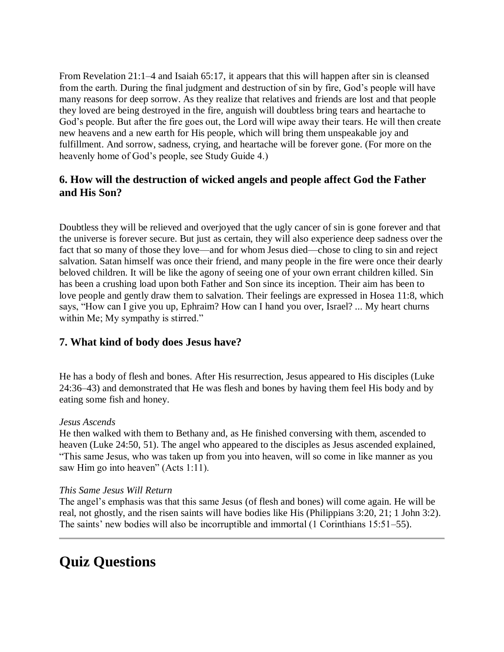From Revelation 21:1–4 and Isaiah 65:17, it appears that this will happen after sin is cleansed from the earth. During the final judgment and destruction of sin by fire, God's people will have many reasons for deep sorrow. As they realize that relatives and friends are lost and that people they loved are being destroyed in the fire, anguish will doubtless bring tears and heartache to God's people. But after the fire goes out, the Lord will wipe away their tears. He will then create new heavens and a new earth for His people, which will bring them unspeakable joy and fulfillment. And sorrow, sadness, crying, and heartache will be forever gone. (For more on the heavenly home of God's people, see Study Guide 4.)

### **6. How will the destruction of wicked angels and people affect God the Father and His Son?**

Doubtless they will be relieved and overjoyed that the ugly cancer of sin is gone forever and that the universe is forever secure. But just as certain, they will also experience deep sadness over the fact that so many of those they love—and for whom Jesus died—chose to cling to sin and reject salvation. Satan himself was once their friend, and many people in the fire were once their dearly beloved children. It will be like the agony of seeing one of your own errant children killed. Sin has been a crushing load upon both Father and Son since its inception. Their aim has been to love people and gently draw them to salvation. Their feelings are expressed in Hosea 11:8, which says, "How can I give you up, Ephraim? How can I hand you over, Israel? ... My heart churns within Me; My sympathy is stirred."

### **7. What kind of body does Jesus have?**

He has a body of flesh and bones. After His resurrection, Jesus appeared to His disciples (Luke 24:36–43) and demonstrated that He was flesh and bones by having them feel His body and by eating some fish and honey.

#### *Jesus Ascends*

He then walked with them to Bethany and, as He finished conversing with them, ascended to heaven (Luke 24:50, 51). The angel who appeared to the disciples as Jesus ascended explained, "This same Jesus, who was taken up from you into heaven, will so come in like manner as you saw Him go into heaven" (Acts 1:11).

#### *This Same Jesus Will Return*

The angel's emphasis was that this same Jesus (of flesh and bones) will come again. He will be real, not ghostly, and the risen saints will have bodies like His (Philippians 3:20, 21; 1 John 3:2). The saints' new bodies will also be incorruptible and immortal (1 Corinthians 15:51–55).

### **Quiz Questions**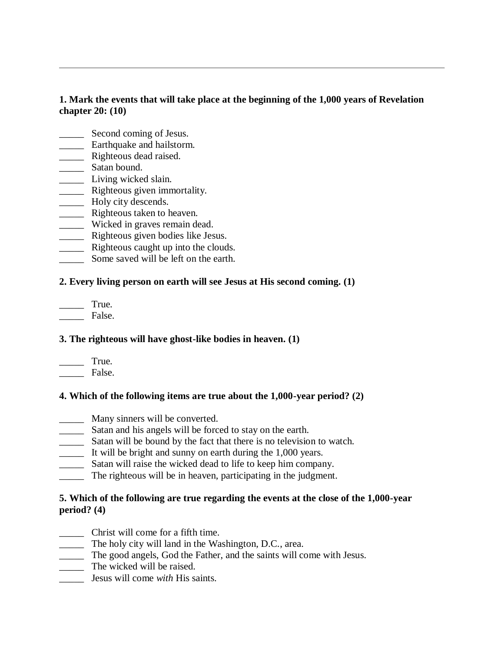### **1. Mark the events that will take place at the beginning of the 1,000 years of Revelation chapter 20: (10)**

- \_\_\_\_\_ Second coming of Jesus.
- \_\_\_\_\_ Earthquake and hailstorm.
- **\_\_\_\_\_** Righteous dead raised.
- \_\_\_\_\_\_\_\_ Satan bound.
- \_\_\_\_\_ Living wicked slain.
- \_\_\_\_\_ Righteous given immortality.
- **EXECUTE:** Holy city descends.
- \_\_\_\_\_ Righteous taken to heaven.
- \_\_\_\_\_ Wicked in graves remain dead.
- \_\_\_\_\_ Righteous given bodies like Jesus.
- **EXECUTE:** Righteous caught up into the clouds.
- Some saved will be left on the earth.

### **2. Every living person on earth will see Jesus at His second coming. (1)**

 $Tru$ e. \_\_\_\_\_ False.

### **3. The righteous will have ghost-like bodies in heaven. (1)**

| I rue. |
|--------|
| False. |

### **4. Which of the following items are true about the 1,000-year period? (2)**

- \_\_\_\_\_ Many sinners will be converted.
- \_\_\_\_\_ Satan and his angels will be forced to stay on the earth.
- \_\_\_\_\_ Satan will be bound by the fact that there is no television to watch.
- \_\_\_\_\_ It will be bright and sunny on earth during the 1,000 years.
- \_\_\_\_\_ Satan will raise the wicked dead to life to keep him company.
- \_\_\_\_\_ The righteous will be in heaven, participating in the judgment.

### **5. Which of the following are true regarding the events at the close of the 1,000-year period? (4)**

- \_\_\_\_\_ Christ will come for a fifth time.
- \_\_\_\_\_ The holy city will land in the Washington, D.C., area.
- \_\_\_\_\_ The good angels, God the Father, and the saints will come with Jesus.
- \_\_\_\_\_ The wicked will be raised.
- \_\_\_\_\_ Jesus will come *with* His saints.